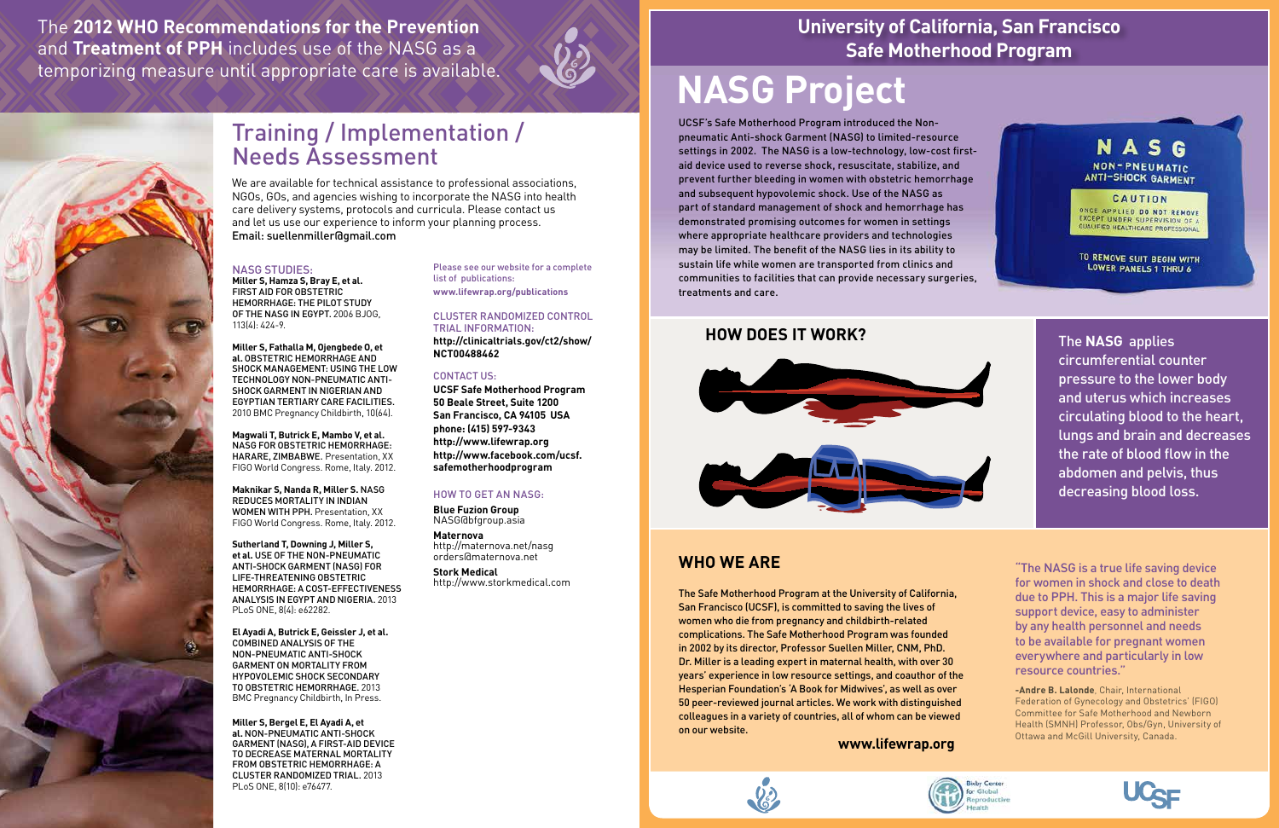

**-Andre B. Lalonde**, Chair, International Federation of Gynecology and Obstetrics' (FIGO) Committee for Safe Motherhood and Newborn Health (SMNH) Professor, Obs/Gyn, University of Ottawa and McGill University, Canada.



## **University of California, San Francisco Safe Motherhood Program**

## **NASG Project**

UCSF's Safe Motherhood Program introduced the Nonpneumatic Anti-shock Garment (NASG) to limited-resource settings in 2002. The NASG is a low-technology, low-cost firstaid device used to reverse shock, resuscitate, stabilize, and prevent further bleeding in women with obstetric hemorrhage and subsequent hypovolemic shock. Use of the NASG as part of standard management of shock and hemorrhage has demonstrated promising outcomes for women in settings where appropriate healthcare providers and technologies may be limited. The benefit of the NASG lies in its ability to sustain life while women are transported from clinics and communities to facilities that can provide necessary surgeries, treatments and care.

## Training / Implementation / Needs Assessment

We are available for technical assistance to professional associations, NGOs, GOs, and agencies wishing to incorporate the NASG into health care delivery systems, protocols and curricula. Please contact us and let us use our experience to inform your planning process. Email: suellenmiller@gmail.com

#### NASG studies:

**Miller S, Hamza S, Bray E, et al.**  FIRST AID FOR OBSTETRIC HEMORRHAGE: THE PILOT STUDY OF THE NASG IN EGYPT. 2006 BJOG, 113(4): 424-9.

**Miller S, Fathalla M, Ojengbede O, et al.** OBSTETRIC HEMORRHAGE AND SHOCK MANAGEMENT: USING THE LOW TECHNOLOGY NON-PNEUMATIC ANTI-SHOCK GARMENT IN NIGERIAN AND EGYPTIAN TERTIARY CARE FACILITIES. 2010 BMC Pregnancy Childbirth, 10(64).

**Magwali T, Butrick E, Mambo V, et al.** NASG FOR OBSTETRIC HEMORRHAGE: HARARE, ZIMBABWE. Presentation, XX FIGO World Congress. Rome, Italy. 2012.

**Maknikar S, Nanda R, Miller S.** NASG REDUCES MORTALITY IN INDIAN WOMEN WITH PPH. Presentation, XX FIGO World Congress. Rome, Italy. 2012.

**Sutherland T, Downing J, Miller S, et al.** USE OF THE NON-PNEUMATIC ANTI-SHOCK GARMENT (NASG) FOR LIFE-THREATENING OBSTETRIC HEMORRHAGE: A COST-EFFECTIVENESS ANALYSIS IN EGYPT AND NIGERIA. 2013 PLoS ONE, 8(4): e62282.

**El Ayadi A, Butrick E, Geissler J, et al.**  COMBINED ANALYSIS OF THE NON-PNEUMATIC ANTI-SHOCK GARMENT ON MORTALITY FROM HYPOVOLEMIC SHOCK SECONDARY TO OBSTETRIC HEMORRHAGE. 2013 BMC Pregnancy Childbirth, In Press.

**Miller S, Bergel E, El Ayadi A, et al.** NON-PNEUMATIC ANTI-SHOCK GARMENT (NASG), A FIRST-AID DEVICE TO DECREASE MATERNAL MORTALITY FROM OBSTETRIC HEMORRHAGE: A CLUSTER RANDOMIZED TRIAL. 2013 PLoS ONE, 8(10): e76477.

Please see our website for a complete list of publications:

**www.lifewrap.org/publications**

### Cluster Randomized Control Trial information:

**http://clinicaltrials.gov/ct2/show/ NCT00488462** 

### CONTACT US:

**UCSF Safe Motherhood Program 50 Beale Street, Suite 1200 San Francisco, CA 94105 USA phone: (415) 597-9343 http://www.lifewrap.org http://www.facebook.com/ucsf. safemotherhoodprogram** 

### HOW TO GET AN NASG:

**Blue Fuzion Group**  NASG@bfgroup.asia

**Maternova** http://maternova.net/nasg orders@maternova.net

**Stork Medical** http://www.storkmedical.com

The **2012 WHO Recommendations for the Prevention** and **Treatment of PPH** includes use of the NASG as a temporizing measure until appropriate care is available.



The **NASG** applies circumferential counter pressure to the lower body and uterus which increases circulating blood to the heart, lungs and brain and decreases the rate of blood flow in the abdomen and pelvis, thus decreasing blood loss.

## **How Does it Work?**



## **WHO WE ARE**

The Safe Motherhood Program at the University of California, San Francisco (UCSF), is committed to saving the lives of women who die from pregnancy and childbirth-related complications. The Safe Motherhood Program was founded in 2002 by its director, Professor Suellen Miller, CNM, PhD. Dr. Miller is a leading expert in maternal health, with over 30 years' experience in low resource settings, and coauthor of the Hesperian Foundation's 'A Book for Midwives', as well as over 50 peer-reviewed journal articles. We work with distinguished colleagues in a variety of countries, all of whom can be viewed on our website.

**www.lifewrap.org**